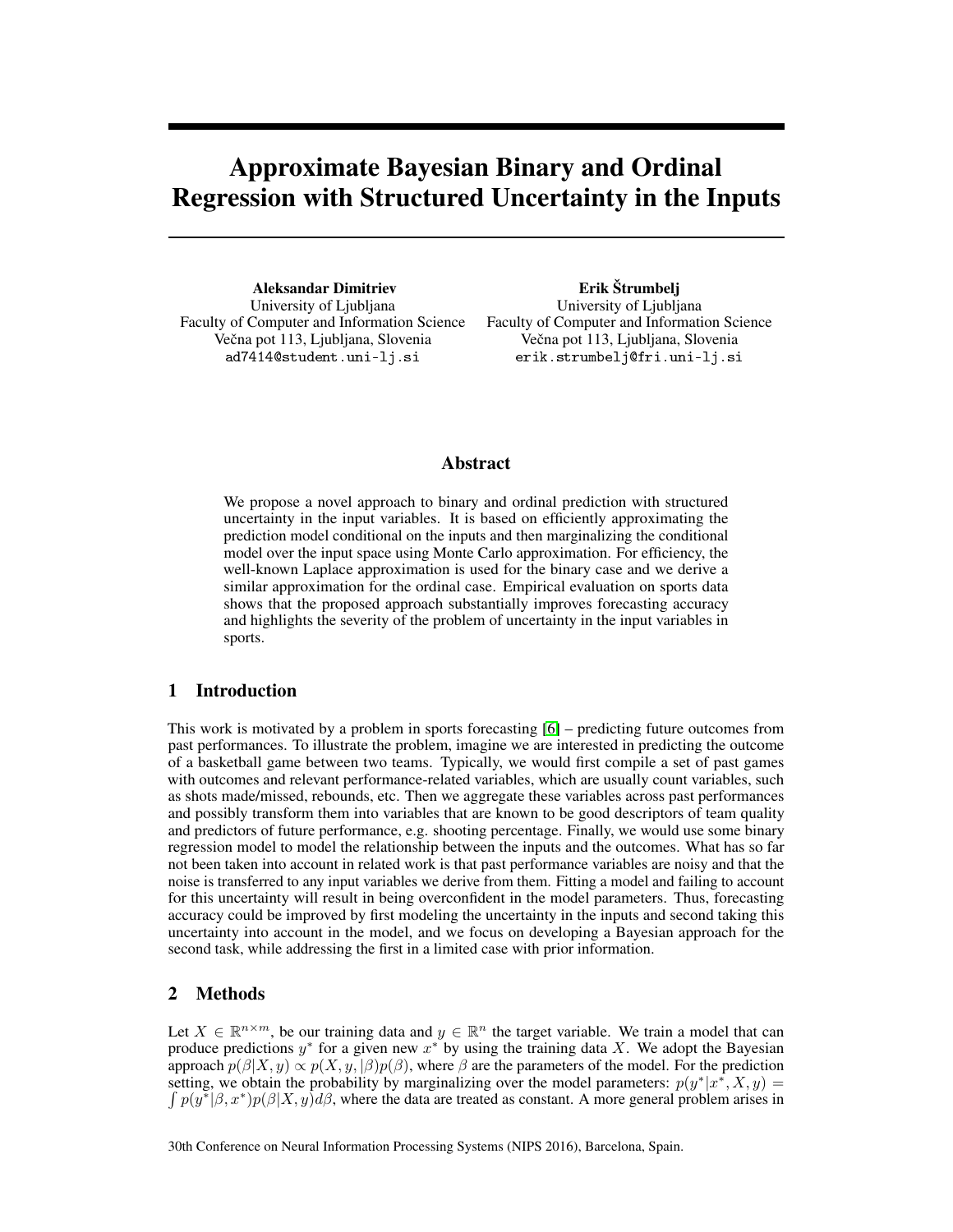# Approximate Bayesian Binary and Ordinal Regression with Structured Uncertainty in the Inputs

Aleksandar Dimitriev University of Ljubljana Faculty of Computer and Information Science Večna pot 113, Ljubljana, Slovenia ad7414@student.uni-lj.si

Erik Štrumbelj University of Ljubljana Faculty of Computer and Information Science Večna pot 113, Ljubljana, Slovenia erik.strumbelj@fri.uni-lj.si

## Abstract

We propose a novel approach to binary and ordinal prediction with structured uncertainty in the input variables. It is based on efficiently approximating the prediction model conditional on the inputs and then marginalizing the conditional model over the input space using Monte Carlo approximation. For efficiency, the well-known Laplace approximation is used for the binary case and we derive a similar approximation for the ordinal case. Empirical evaluation on sports data shows that the proposed approach substantially improves forecasting accuracy and highlights the severity of the problem of uncertainty in the input variables in sports.

## 1 Introduction

This work is motivated by a problem in sports forecasting [\[6\]](#page-4-0) – predicting future outcomes from past performances. To illustrate the problem, imagine we are interested in predicting the outcome of a basketball game between two teams. Typically, we would first compile a set of past games with outcomes and relevant performance-related variables, which are usually count variables, such as shots made/missed, rebounds, etc. Then we aggregate these variables across past performances and possibly transform them into variables that are known to be good descriptors of team quality and predictors of future performance, e.g. shooting percentage. Finally, we would use some binary regression model to model the relationship between the inputs and the outcomes. What has so far not been taken into account in related work is that past performance variables are noisy and that the noise is transferred to any input variables we derive from them. Fitting a model and failing to account for this uncertainty will result in being overconfident in the model parameters. Thus, forecasting accuracy could be improved by first modeling the uncertainty in the inputs and second taking this uncertainty into account in the model, and we focus on developing a Bayesian approach for the second task, while addressing the first in a limited case with prior information.

## 2 Methods

Let  $X \in \mathbb{R}^{n \times m}$ , be our training data and  $y \in \mathbb{R}^n$  the target variable. We train a model that can produce predictions  $y^*$  for a given new  $x^*$  by using the training data X. We adopt the Bayesian approach  $p(\beta|X, y) \propto p(X, y, |\beta)p(\beta)$ , where  $\beta$  are the parameters of the model. For the prediction setting, we obtain the probability by marginalizing over the model parameters:  $p(y^*|x^*, X, y) =$  $\int p(y^*|\beta, x^*) p(\beta|X, y) d\beta$ , where the data are treated as constant. A more general problem arises in

30th Conference on Neural Information Processing Systems (NIPS 2016), Barcelona, Spain.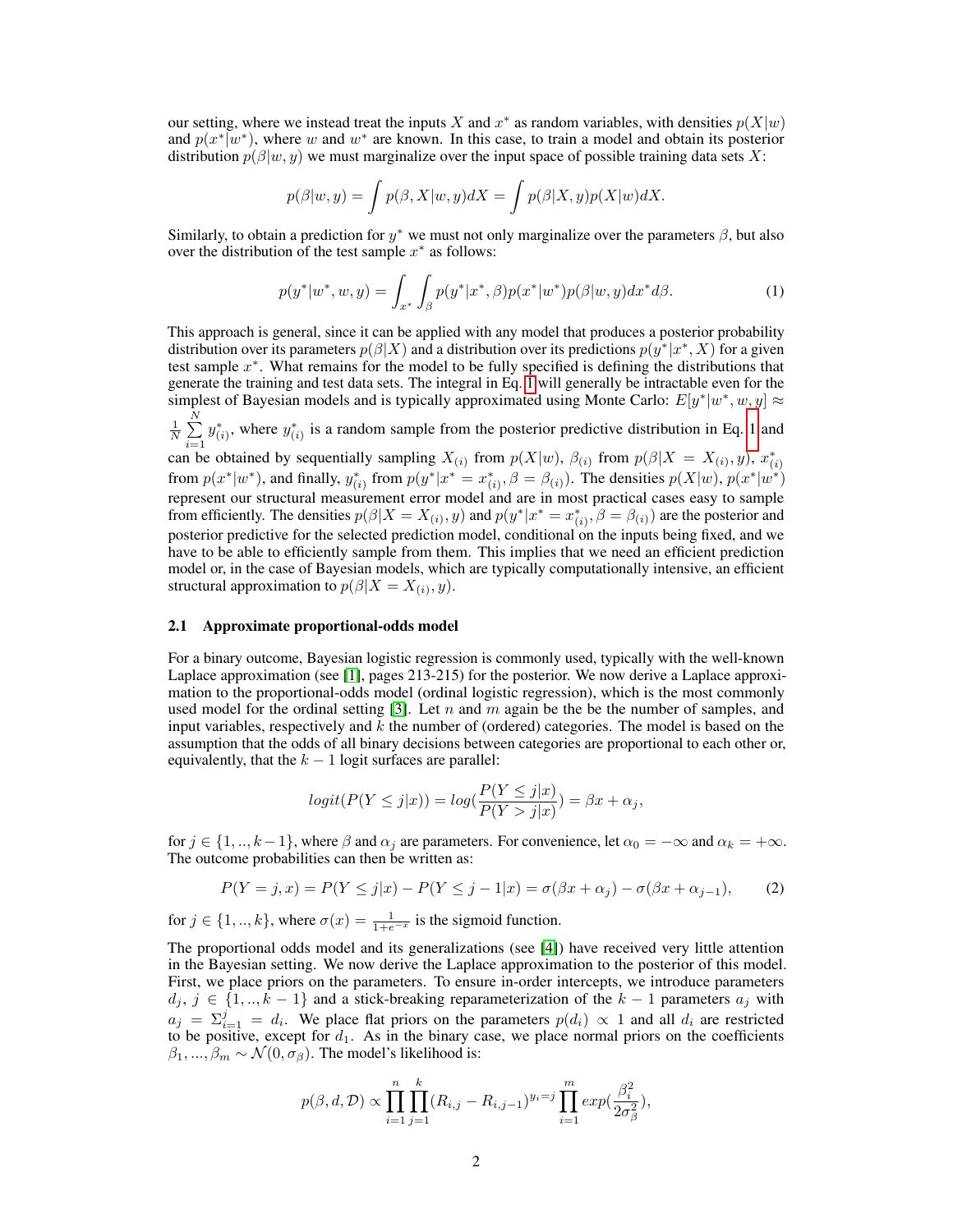our setting, where we instead treat the inputs X and  $x^*$  as random variables, with densities  $p(X|w)$ and  $p(x^*|w^*)$ , where w and w<sup>\*</sup> are known. In this case, to train a model and obtain its posterior distribution  $p(\beta|w, y)$  we must marginalize over the input space of possible training data sets X:

<span id="page-1-0"></span>
$$
p(\beta|w, y) = \int p(\beta, X|w, y) dX = \int p(\beta|X, y)p(X|w) dX.
$$

Similarly, to obtain a prediction for  $y^*$  we must not only marginalize over the parameters  $\beta$ , but also over the distribution of the test sample  $x^*$  as follows:

$$
p(y^*|w^*, w, y) = \int_{x^*} \int_{\beta} p(y^*|x^*, \beta) p(x^*|w^*) p(\beta|w, y) dx^* d\beta.
$$
 (1)

This approach is general, since it can be applied with any model that produces a posterior probability distribution over its parameters  $p(\beta|X)$  and a distribution over its predictions  $p(y^*|x^*,X)$  for a given test sample  $x^*$ . What remains for the model to be fully specified is defining the distributions that generate the training and test data sets. The integral in Eq. [1](#page-1-0) will generally be intractable even for the simplest of Bayesian models and is typically approximated using Monte Carlo:  $E[y^*|w^*, w, y] \approx$  $\frac{1}{N}$  $\sum_{n=1}^{N}$  $i=1$  $y_{(i)}^*$ , where  $y_{(i)}^*$  is a random sample from the posterior predictive distribution in Eq. [1](#page-1-0) and can be obtained by sequentially sampling  $X_{(i)}$  from  $p(X|w)$ ,  $\beta_{(i)}$  from  $p(\beta|X = X_{(i)}, y)$ ,  $x_{(i)}^*$ from  $p(x^*|w^*)$ , and finally,  $y_{(i)}^*$  from  $p(y^*|x^* = x_{(i)}^*, \beta = \beta_{(i)})$ . The densities  $p(X|w)$ ,  $p(x^*|w^*)$ represent our structural measurement error model and are in most practical cases easy to sample from efficiently. The densities  $p(\beta|X = X_{(i)}, y)$  and  $p(y^*|x^* = x^*_{(i)}, \beta = \beta_{(i)})$  are the posterior and posterior predictive for the selected prediction model, conditional on the inputs being fixed, and we have to be able to efficiently sample from them. This implies that we need an efficient prediction model or, in the case of Bayesian models, which are typically computationally intensive, an efficient structural approximation to  $p(\beta|X = X_{(i)}, y)$ .

#### 2.1 Approximate proportional-odds model

For a binary outcome, Bayesian logistic regression is commonly used, typically with the well-known Laplace approximation (see [\[1\]](#page-4-1), pages 213-215) for the posterior. We now derive a Laplace approximation to the proportional-odds model (ordinal logistic regression), which is the most commonly used model for the ordinal setting [\[3\]](#page-4-2). Let n and m again be the be the number of samples, and input variables, respectively and  $k$  the number of (ordered) categories. The model is based on the assumption that the odds of all binary decisions between categories are proportional to each other or, equivalently, that the  $k - 1$  logit surfaces are parallel:

$$
logit(P(Y \le j|x)) = log(\frac{P(Y \le j|x)}{P(Y > j|x)}) = \beta x + \alpha_j,
$$

for  $j \in \{1, ..., k-1\}$ , where  $\beta$  and  $\alpha_j$  are parameters. For convenience, let  $\alpha_0 = -\infty$  and  $\alpha_k = +\infty$ . The outcome probabilities can then be written as:

$$
P(Y = j, x) = P(Y \le j|x) - P(Y \le j - 1|x) = \sigma(\beta x + \alpha_j) - \sigma(\beta x + \alpha_{j-1}),
$$
 (2)

for  $j \in \{1, ..., k\}$ , where  $\sigma(x) = \frac{1}{1 + e^{-x}}$  is the sigmoid function.

The proportional odds model and its generalizations (see [\[4\]](#page-4-3)) have received very little attention in the Bayesian setting. We now derive the Laplace approximation to the posterior of this model. First, we place priors on the parameters. To ensure in-order intercepts, we introduce parameters  $d_i, j \in \{1, ..., k-1\}$  and a stick-breaking reparameterization of the  $k-1$  parameters  $a_i$  with  $a_j = \sum_{i=1}^j = d_i$ . We place flat priors on the parameters  $p(d_i) \propto 1$  and all  $d_i$  are restricted to be positive, except for  $d_1$ . As in the binary case, we place normal priors on the coefficients  $\beta_1, ..., \beta_m \sim \mathcal{N}(0, \sigma_\beta)$ . The model's likelihood is:

$$
p(\beta, d, \mathcal{D}) \propto \prod_{i=1}^{n} \prod_{j=1}^{k} (R_{i,j} - R_{i,j-1})^{y_i = j} \prod_{i=1}^{m} exp(\frac{\beta_i^2}{2\sigma_{\beta}^2}),
$$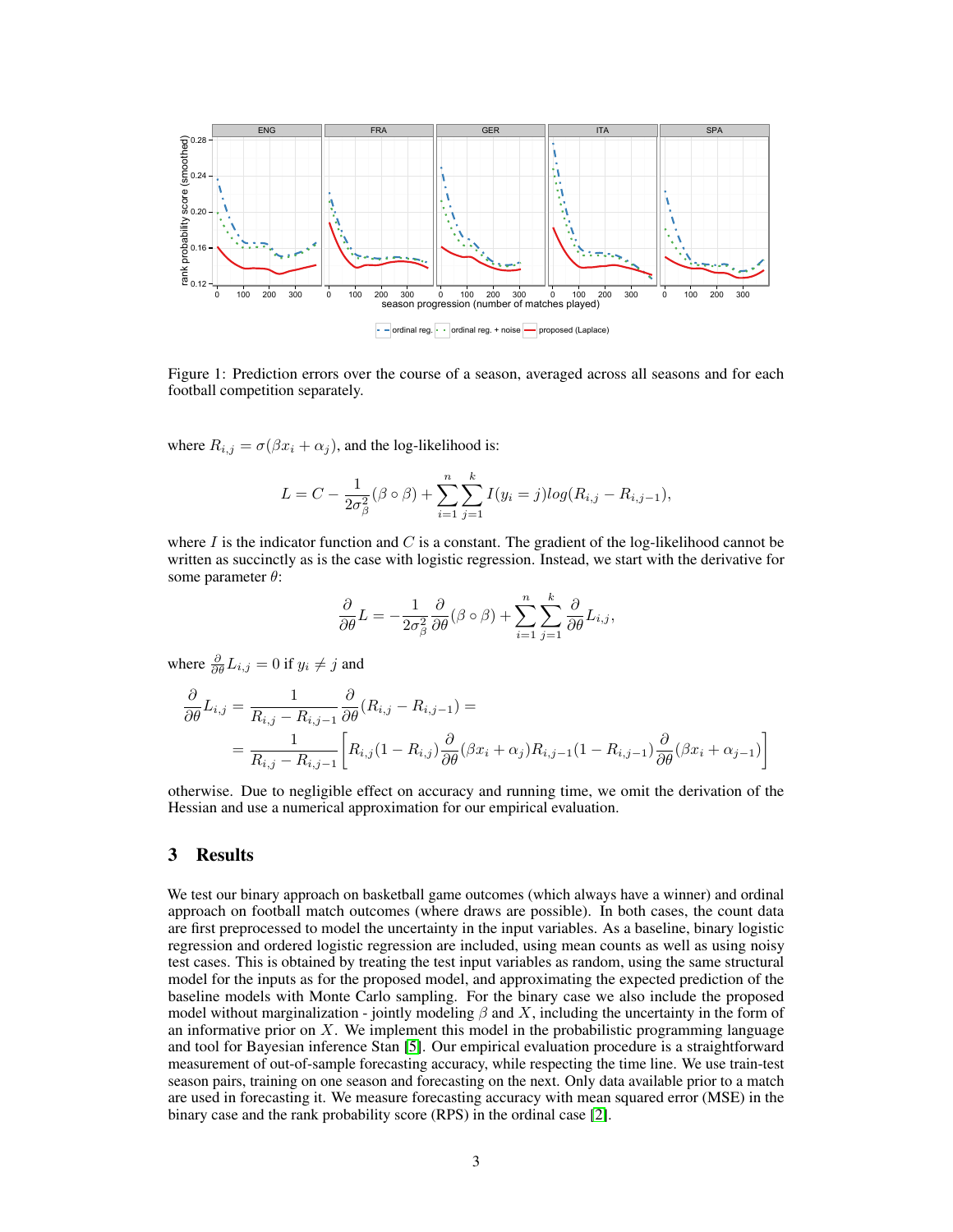<span id="page-2-0"></span>

Figure 1: Prediction errors over the course of a season, averaged across all seasons and for each football competition separately.

where  $R_{i,j} = \sigma(\beta x_i + \alpha_j)$ , and the log-likelihood is:

$$
L = C - \frac{1}{2\sigma_{\beta}^{2}} (\beta \circ \beta) + \sum_{i=1}^{n} \sum_{j=1}^{k} I(y_{i} = j) log(R_{i,j} - R_{i,j-1}),
$$

where  $I$  is the indicator function and  $C$  is a constant. The gradient of the log-likelihood cannot be written as succinctly as is the case with logistic regression. Instead, we start with the derivative for some parameter  $\theta$ :

$$
\frac{\partial}{\partial \theta}L = -\frac{1}{2\sigma_{\beta}^2} \frac{\partial}{\partial \theta} (\beta \circ \beta) + \sum_{i=1}^n \sum_{j=1}^k \frac{\partial}{\partial \theta} L_{i,j},
$$

where  $\frac{\partial}{\partial \theta} L_{i,j} = 0$  if  $y_i \neq j$  and

$$
\frac{\partial}{\partial \theta} L_{i,j} = \frac{1}{R_{i,j} - R_{i,j-1}} \frac{\partial}{\partial \theta} (R_{i,j} - R_{i,j-1}) =
$$
  
= 
$$
\frac{1}{R_{i,j} - R_{i,j-1}} \left[ R_{i,j} (1 - R_{i,j}) \frac{\partial}{\partial \theta} (\beta x_i + \alpha_j) R_{i,j-1} (1 - R_{i,j-1}) \frac{\partial}{\partial \theta} (\beta x_i + \alpha_{j-1}) \right]
$$

otherwise. Due to negligible effect on accuracy and running time, we omit the derivation of the Hessian and use a numerical approximation for our empirical evaluation.

## 3 Results

We test our binary approach on basketball game outcomes (which always have a winner) and ordinal approach on football match outcomes (where draws are possible). In both cases, the count data are first preprocessed to model the uncertainty in the input variables. As a baseline, binary logistic regression and ordered logistic regression are included, using mean counts as well as using noisy test cases. This is obtained by treating the test input variables as random, using the same structural model for the inputs as for the proposed model, and approximating the expected prediction of the baseline models with Monte Carlo sampling. For the binary case we also include the proposed model without marginalization - jointly modeling  $\beta$  and X, including the uncertainty in the form of an informative prior on X. We implement this model in the probabilistic programming language and tool for Bayesian inference Stan [\[5\]](#page-4-4). Our empirical evaluation procedure is a straightforward measurement of out-of-sample forecasting accuracy, while respecting the time line. We use train-test season pairs, training on one season and forecasting on the next. Only data available prior to a match are used in forecasting it. We measure forecasting accuracy with mean squared error (MSE) in the binary case and the rank probability score (RPS) in the ordinal case [\[2\]](#page-4-5).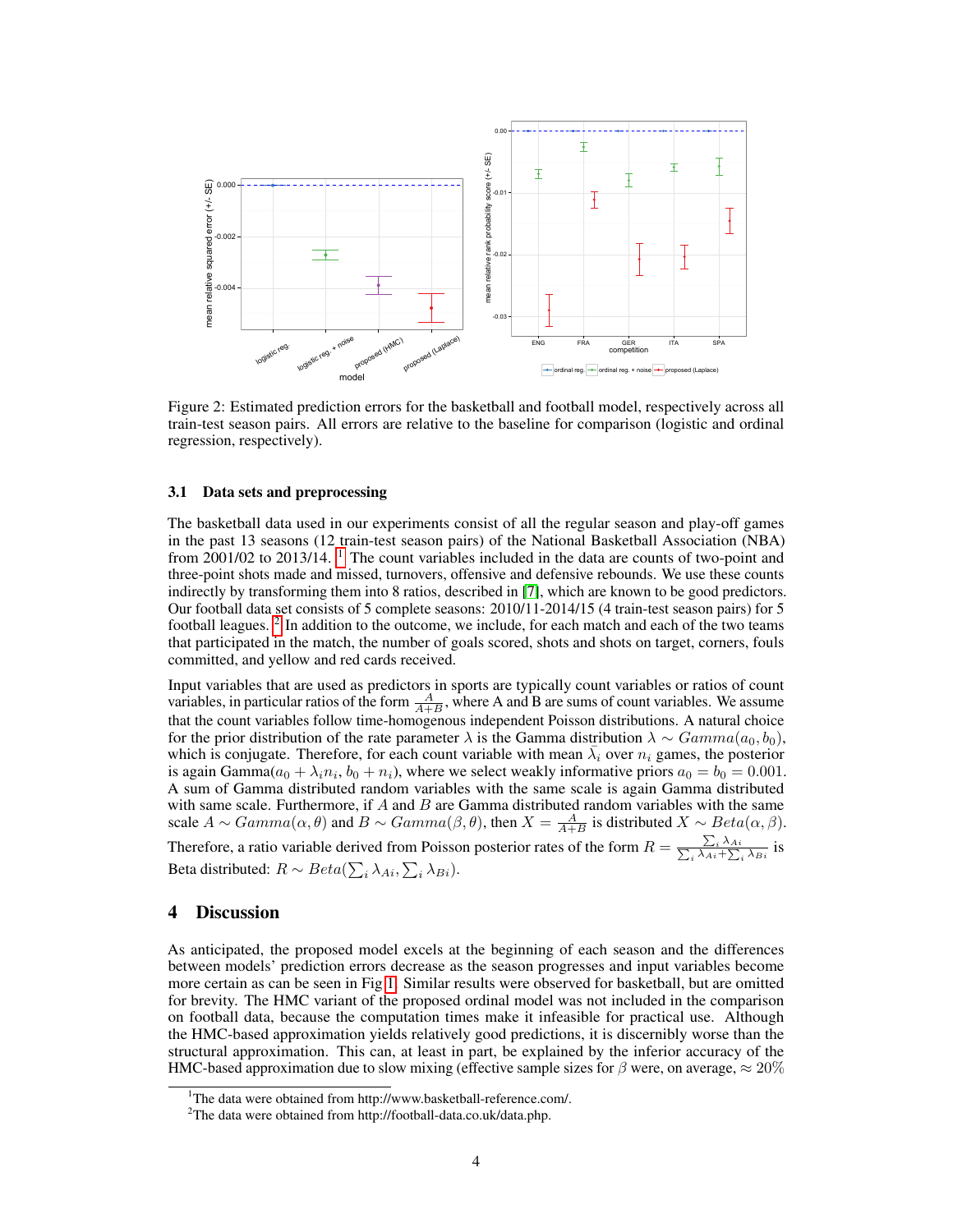<span id="page-3-2"></span>

Figure 2: Estimated prediction errors for the basketball and football model, respectively across all train-test season pairs. All errors are relative to the baseline for comparison (logistic and ordinal regression, respectively).

#### 3.1 Data sets and preprocessing

The basketball data used in our experiments consist of all the regular season and play-off games in the past 13 seasons (12 train-test season pairs) of the National Basketball Association (NBA) from 200[1](#page-3-0)/02 to 2013/14. <sup>1</sup> The count variables included in the data are counts of two-point and three-point shots made and missed, turnovers, offensive and defensive rebounds. We use these counts indirectly by transforming them into 8 ratios, described in [\[7\]](#page-4-6), which are known to be good predictors. Our football data set consists of 5 complete seasons: 2010/11-2014/15 (4 train-test season pairs) for 5 football leagues.<sup>[2](#page-3-1)</sup> In addition to the outcome, we include, for each match and each of the two teams that participated in the match, the number of goals scored, shots and shots on target, corners, fouls committed, and yellow and red cards received.

Input variables that are used as predictors in sports are typically count variables or ratios of count variables, in particular ratios of the form  $\frac{A}{A+B}$ , where A and B are sums of count variables. We assume that the count variables follow time-homogenous independent Poisson distributions. A natural choice for the prior distribution of the rate parameter  $\lambda$  is the Gamma distribution  $\lambda \sim Gamma(a_0, b_0)$ , which is conjugate. Therefore, for each count variable with mean  $\bar{\lambda}_i$  over  $n_i$  games, the posterior is again Gamma $(a_0 + \lambda_i n_i, b_0 + n_i)$ , where we select weakly informative priors  $a_0 = b_0 = 0.001$ . A sum of Gamma distributed random variables with the same scale is again Gamma distributed with same scale. Furthermore, if  $A$  and  $B$  are Gamma distributed random variables with the same scale  $A \sim Gamma(\alpha, \theta)$  and  $B \sim Gamma(\beta, \theta)$ , then  $X = \frac{A}{A+B}$  is distributed  $X \sim Beta(\alpha, \beta)$ .

Therefore, a ratio variable derived from Poisson posterior rates of the form  $R = \frac{\sum_i \lambda_{Ai}}{\sum_i \lambda_{Ai} + \sum_i \lambda_{Bi}}$  is Beta distributed:  $R \sim Beta(\sum_i \lambda_{Ai}, \sum_i \lambda_{Bi})$ .

### 4 Discussion

As anticipated, the proposed model excels at the beginning of each season and the differences between models' prediction errors decrease as the season progresses and input variables become more certain as can be seen in Fig [1.](#page-2-0) Similar results were observed for basketball, but are omitted for brevity. The HMC variant of the proposed ordinal model was not included in the comparison on football data, because the computation times make it infeasible for practical use. Although the HMC-based approximation yields relatively good predictions, it is discernibly worse than the structural approximation. This can, at least in part, be explained by the inferior accuracy of the HMC-based approximation due to slow mixing (effective sample sizes for  $\beta$  were, on average,  $\approx 20\%$ 

<span id="page-3-0"></span><sup>&</sup>lt;sup>1</sup>The data were obtained from http://www.basketball-reference.com/.

<span id="page-3-1"></span><sup>2</sup>The data were obtained from http://football-data.co.uk/data.php.